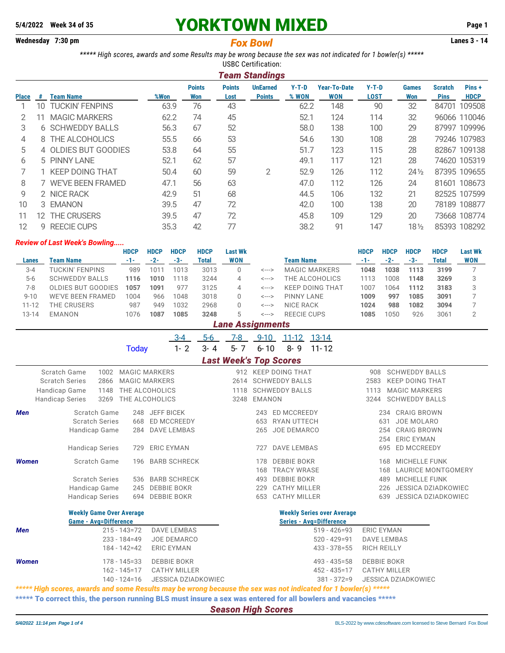# **5/4/2022 Week 34 of 35** YORKTOWN MIXED **Page 1**

# **Wednesday 7:30 pm Lanes 3 - 14** *Fox Bowl*

*\*\*\*\*\* High scores, awards and some Results may be wrong because the sex was not indicated for 1 bowler(s) \*\*\*\*\** USBC Certification:

|              | <b>Team Standings</b> |                         |      |                      |                       |                                  |                  |                                   |                        |                     |                               |                      |  |
|--------------|-----------------------|-------------------------|------|----------------------|-----------------------|----------------------------------|------------------|-----------------------------------|------------------------|---------------------|-------------------------------|----------------------|--|
| <b>Place</b> | #                     | <b>Team Name</b>        | %Won | <b>Points</b><br>Won | <b>Points</b><br>Lost | <b>UnEarned</b><br><b>Points</b> | $Y-T-D$<br>% WON | <b>Year-To-Date</b><br><b>WON</b> | $Y-T-D$<br><b>LOST</b> | <b>Games</b><br>Won | <b>Scratch</b><br><b>Pins</b> | Pins+<br><b>HDCP</b> |  |
|              | 10.                   | <b>TUCKIN' FENPINS</b>  | 63.9 | 76                   | 43                    |                                  | 62.2             | 148                               | 90                     | 32                  |                               | 84701 109508         |  |
| 2            | 11                    | <b>MAGIC MARKERS</b>    | 62.2 | 74                   | 45                    |                                  | 52.1             | 124                               | 114                    | 32                  |                               | 96066 110046         |  |
| 3            |                       | <b>6 SCHWEDDY BALLS</b> | 56.3 | 67                   | 52                    |                                  | 58.0             | 138                               | 100                    | 29                  |                               | 87997 109996         |  |
| 4            |                       | 8 THE ALCOHOLICS        | 55.5 | 66                   | 53                    |                                  | 54.6             | 130                               | 108                    | 28                  |                               | 79246 107983         |  |
| 5            |                       | 4 OLDIES BUT GOODIES    | 53.8 | 64                   | 55                    |                                  | 51.7             | 123                               | 115                    | 28                  |                               | 82867 109138         |  |
| 6            |                       | 5 PINNY LANE            | 52.1 | 62                   | 57                    |                                  | 49.1             | 117                               | 121                    | 28                  |                               | 74620 105319         |  |
|              |                       | 1 KEEP DOING THAT       | 50.4 | 60                   | 59                    | 2                                | 52.9             | 126                               | 112                    | $24\frac{1}{2}$     |                               | 87395 109655         |  |
| 8            |                       | 7 WE'VE BEEN FRAMED     | 47.1 | 56                   | 63                    |                                  | 47.0             | 112                               | 126                    | 24                  |                               | 81601 108673         |  |
| 9            |                       | 2 NICE RACK             | 42.9 | 51                   | 68                    |                                  | 44.5             | 106                               | 132                    | 21                  |                               | 82525 107599         |  |
| 10           |                       | 3 EMANON                | 39.5 | 47                   | 72                    |                                  | 42.0             | 100                               | 138                    | 20                  |                               | 78189 108877         |  |
| 11           | 12.                   | <b>THE CRUSERS</b>      | 39.5 | 47                   | 72                    |                                  | 45.8             | 109                               | 129                    | 20                  |                               | 73668 108774         |  |
| 12           |                       | 9 REECIE CUPS           | 35.3 | 42                   | 77                    |                                  | 38.2             | 91                                | 147                    | 18½                 |                               | 85393 108292         |  |

### *Review of Last Week's Bowling.....*

|           |                                                                                | <b>HDCP</b> | <b>HDCP</b> | <b>HDCP</b> | <b>HDCP</b> | Last Wk    |       |                        | <b>HDCP</b> | <b>HDCP</b> | <b>HDCP</b> | <b>HDCP</b> | <b>Last Wk</b> |  |
|-----------|--------------------------------------------------------------------------------|-------------|-------------|-------------|-------------|------------|-------|------------------------|-------------|-------------|-------------|-------------|----------------|--|
| Lanes     | Team Name                                                                      | $-1-$       | $-2-$       | -3-         | Total       | <b>WON</b> |       | Team Name              |             | $-2-$       | $-3-$       | Total       | <b>WON</b>     |  |
| $3 - 4$   | TUCKIN' FENPINS                                                                | 989         | 101         | 1013        | 3013        |            | <---> | <b>MAGIC MARKERS</b>   | 1048        | 1038        | 1113        | 3199        |                |  |
| $5 - 6$   | <b>SCHWEDDY BALLS</b>                                                          | 1116        | 1010        | 1118        | 3244        |            | <---> | THE ALCOHOLICS         | 1113        | 1008        | 1148        | 3269        |                |  |
| 7-8       | OLDIES BUT GOODIES                                                             | 1057        | 1091        | 977         | 3125        |            | <---> | <b>KEEP DOING THAT</b> | 1007        | 1064        | 1112        | 3183        |                |  |
| $9 - 10$  | 3018<br><b>WE'VE BEEN FRAMED</b><br>1048<br>1004<br>966<br>PINNY LANE<br><---> |             |             |             |             |            |       |                        |             |             | 1085        | 3091        |                |  |
| $11 - 12$ | THE CRUSERS                                                                    | 987         | 949         | 1032        | 2968        |            | <---> | NICE RACK              | 1024        | 988         | 1082        | 3094        |                |  |
| 13-14     | <b>EMANON</b>                                                                  | 1076        | 1087        | 1085        | 3248        | b.         | <---> | REFCIE CUPS            | 1085        | 1050        | 926         | 3061        |                |  |
|           | <b>Lane Assignments</b>                                                        |             |             |             |             |            |       |                        |             |             |             |             |                |  |

3-4 5-6 7-8 9-10 11-12 13-14 Today 1-2 3-4 5-7 6-10 8-9 11-12

| <b>Last Week's Top Scores</b> |  |
|-------------------------------|--|
|-------------------------------|--|

|            |                                       |              |                                              |                     | ===================== |        |                                                 |             |                                                 |  |
|------------|---------------------------------------|--------------|----------------------------------------------|---------------------|-----------------------|--------|-------------------------------------------------|-------------|-------------------------------------------------|--|
|            | Scratch Game<br><b>Scratch Series</b> | 1002<br>2866 | <b>MAGIC MARKERS</b><br><b>MAGIC MARKERS</b> |                     | 912<br>2614           |        | <b>KEEP DOING THAT</b><br><b>SCHWEDDY BALLS</b> | 908<br>2583 | <b>SCHWEDDY BALLS</b><br><b>KEEP DOING THAT</b> |  |
|            | Handicap Game                         | 1148         |                                              | THE ALCOHOLICS      | 1118                  |        | <b>SCHWEDDY BALLS</b>                           | 1113        | <b>MAGIC MARKERS</b>                            |  |
|            |                                       |              |                                              |                     |                       |        |                                                 |             |                                                 |  |
|            | <b>Handicap Series</b>                | 3269         |                                              | THE ALCOHOLICS      | 3248                  | EMANON |                                                 | 3244        | <b>SCHWEDDY BALLS</b>                           |  |
| <b>Men</b> | Scratch Game                          |              | 248                                          | JEFF BICEK          |                       | 243    | ED MCCREEDY                                     | 234         | <b>CRAIG BROWN</b>                              |  |
|            | <b>Scratch Series</b>                 |              | 668                                          | <b>ED MCCREEDY</b>  |                       | 653    | RYAN UTTECH                                     | 631         | JOE MOLARO                                      |  |
|            | Handicap Game                         |              | 284                                          | <b>DAVE LEMBAS</b>  |                       | 265    | JOE DEMARCO                                     | 254         | <b>CRAIG BROWN</b>                              |  |
|            |                                       |              |                                              |                     |                       |        |                                                 | 254         | <b>ERIC EYMAN</b>                               |  |
|            | <b>Handicap Series</b>                |              | 729                                          | <b>ERIC EYMAN</b>   |                       | 727    | <b>DAVE LEMBAS</b>                              | 695         | <b>ED MCCREEDY</b>                              |  |
| Women      | Scratch Game                          |              | 196                                          | <b>BARB SCHRECK</b> |                       | 178    | <b>DEBBIE BOKR</b>                              | 168         | <b>MICHELLE FUNK</b>                            |  |
|            |                                       |              |                                              |                     |                       | 168    | <b>TRACY WRASE</b>                              | 168         | <b>LAURICE MONTGOMERY</b>                       |  |
|            | <b>Scratch Series</b>                 |              | 536                                          | <b>BARB SCHRECK</b> |                       | 493    | <b>DEBBIE BOKR</b>                              | 489         | <b>MICHELLE FUNK</b>                            |  |
|            | Handicap Game                         |              | 245                                          | DEBBIE BOKR         |                       | 229    | CATHY MILLER                                    | 226         | JESSICA DZIADKOWIEC                             |  |
|            | <b>Handicap Series</b>                |              | 694                                          | DEBBIE BOKR         |                       | 653    | CATHY MILLER                                    | 639         | JESSICA DZIADKOWIEC                             |  |
|            |                                       |              |                                              |                     |                       |        |                                                 |             |                                                 |  |

## **Weekly Game Over Average Weekly Series over Average**

|              | <b>Game - Avg=Difference</b> |                                  | <b>Series - Ava=Difference</b> |                            |
|--------------|------------------------------|----------------------------------|--------------------------------|----------------------------|
| <b>Men</b>   |                              | 215 - 143=72 DAVE LEMBAS         | 519 - 426=93                   | ERIC EYMAN                 |
|              | 233 - 184=49                 | JOE DEMARCO                      | $520 - 429 = 91$               | DAVE LEMBAS                |
|              |                              | 184 - 142=42    ERIC EYMAN       |                                | 433 - 378 = 55 RICH REILLY |
| <b>Women</b> | 178 - 145=33                 | DEBBIE BOKR                      | 493 - 435=58                   | DEBBIE BOKR                |
|              |                              | 162 - 145=17 CATHY MILLER        | 452 - 435=17                   | CATHY MILLER               |
|              |                              | 140 - 124=16 JESSICA DZIADKOWIEC | 381 - 372=9                    | JESSICA DZIADKOWIEC        |

*\*\*\*\*\* High scores, awards and some Results may be wrong because the sex was not indicated for 1 bowler(s) \*\*\*\*\** \*\*\*\*\* To correct this, the person running BLS must insure a sex was entered for all bowlers and vacancies \*\*\*\*\*

*Season High Scores*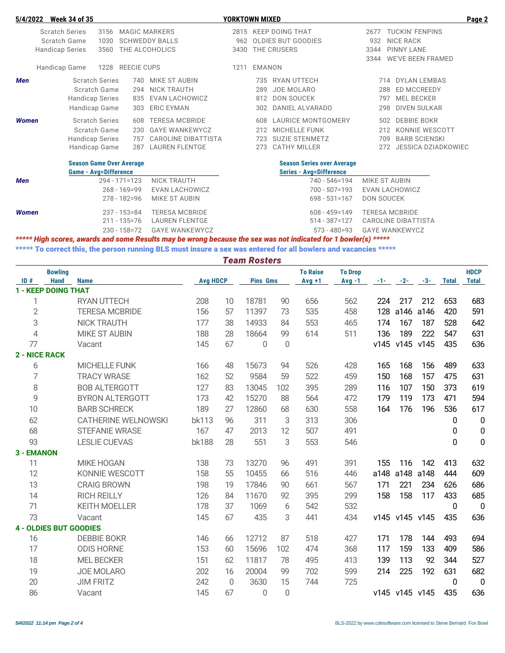| 5/4/2022     |                        | <b>Week 34 of 35</b>         |      |                                 |                            | YORKTOWN MIXED |               |                                   |      |                             | Page 2 |
|--------------|------------------------|------------------------------|------|---------------------------------|----------------------------|----------------|---------------|-----------------------------------|------|-----------------------------|--------|
|              |                        | <b>Scratch Series</b>        | 3156 |                                 | <b>MAGIC MARKERS</b>       |                |               | 2815 KEEP DOING THAT              | 2677 | <b>TUCKIN' FENPINS</b>      |        |
|              |                        | Scratch Game                 | 1030 |                                 | <b>SCHWEDDY BALLS</b>      | 962            |               | OLDIES BUT GOODIES                | 932  | <b>NICE RACK</b>            |        |
|              | <b>Handicap Series</b> |                              | 3560 |                                 | THE ALCOHOLICS             | 3430           |               | THE CRUSERS                       | 3344 | <b>PINNY LANE</b>           |        |
|              |                        |                              |      |                                 |                            |                |               |                                   | 3344 | <b>WE'VE BEEN FRAMED</b>    |        |
|              | Handicap Game          |                              | 1228 | <b>REECIE CUPS</b>              |                            | 1211           | <b>EMANON</b> |                                   |      |                             |        |
| <b>Men</b>   |                        | <b>Scratch Series</b>        |      | 740                             | MIKE ST AUBIN              |                | 735           | RYAN UTTECH                       |      | <b>DYLAN LEMBAS</b><br>714  |        |
|              |                        | Scratch Game                 |      | 294                             | NICK TRAUTH                |                | 289           | <b>JOE MOLARO</b>                 |      | <b>ED MCCREEDY</b><br>288   |        |
|              |                        | Handicap Series              |      | 835                             | EVAN LACHOWICZ             |                | 812           | <b>DON SOUCEK</b>                 |      | <b>MEL BECKER</b><br>797    |        |
|              |                        | Handicap Game                |      | 303                             | <b>ERIC EYMAN</b>          |                | 302           | DANIEL ALVARADO                   |      | <b>DIVEN SULKAR</b><br>298  |        |
| <b>Women</b> |                        | <b>Scratch Series</b>        |      | 608                             | <b>TERESA MCBRIDE</b>      |                | 608           | <b>LAURICE MONTGOMERY</b>         |      | <b>DEBBIE BOKR</b><br>502   |        |
|              |                        | Scratch Game                 |      | 230                             | <b>GAYE WANKEWYCZ</b>      |                | 212           | <b>MICHELLE FUNK</b>              |      | KONNIE WESCOTT<br>212       |        |
|              |                        | Handicap Series              |      | 757                             | <b>CAROLINE DIBATTISTA</b> |                | 723           | <b>SUZIE STENMETZ</b>             |      | <b>BARB SCIENSKI</b><br>709 |        |
|              |                        | Handicap Game                |      | 287                             | LAUREN FLENTGE             |                | 273           | <b>CATHY MILLER</b>               |      | JESSICA DZIADKOWIEC<br>272  |        |
|              |                        |                              |      | <b>Season Game Over Average</b> |                            |                |               | <b>Season Series over Average</b> |      |                             |        |
|              |                        | <b>Game - Avg=Difference</b> |      |                                 |                            |                |               | <b>Series - Avg=Difference</b>    |      |                             |        |
| <b>Men</b>   |                        |                              |      | $294 - 171 = 123$               | <b>NICK TRAUTH</b>         |                |               | 740 - 546=194                     |      | MIKE ST AUBIN               |        |
|              |                        |                              |      | $268 - 169 = 99$                | EVAN LACHOWICZ             |                |               | $700 - 507 = 193$                 |      | EVAN LACHOWICZ              |        |
|              |                        |                              |      | $278 - 182 = 96$                | MIKE ST AUBIN              |                |               | $698 - 531 = 167$                 |      | DON SOUCEK                  |        |
| Women        |                        |                              |      | $237 - 153 = 84$                | <b>TERESA MCBRIDE</b>      |                |               | $608 - 459 = 149$                 |      | <b>TERESA MCBRIDE</b>       |        |
|              |                        |                              |      |                                 |                            |                |               |                                   |      |                             |        |

211 - 135=76 LAUREN FLENTGE 514 - 387=127 CAROLINE DIBATTISTA 230 - 158=72 GAYE WANKEWYCZ 573 - 480=93 GAYE WANKEWYCZ

*\*\*\*\*\* High scores, awards and some Results may be wrong because the sex was not indicated for 1 bowler(s) \*\*\*\*\**

\*\*\*\*\* To correct this, the person running BLS must insure a sex was entered for all bowlers and vacancies \*\*\*\*\*

*Team Rosters*

|                | <b>Bowling</b>                |                            |                 |             |                 |             | <b>To Raise</b> | <b>To Drop</b> |       |                |           |              | <b>HDCP</b>  |
|----------------|-------------------------------|----------------------------|-----------------|-------------|-----------------|-------------|-----------------|----------------|-------|----------------|-----------|--------------|--------------|
| ID#            | <b>Hand</b><br><b>Name</b>    |                            | <b>Avg HDCP</b> |             | <b>Pins Gms</b> |             | $Avq + 1$       | $Avq - 1$      | $-1-$ | $-2-$          | $-3-$     | <b>Total</b> | <b>Total</b> |
|                | <b>1 - KEEP DOING THAT</b>    |                            |                 |             |                 |             |                 |                |       |                |           |              |              |
| 1              |                               | <b>RYAN UTTECH</b>         | 208             | 10          | 18781           | 90          | 656             | 562            | 224   | 217            | 212       | 653          | 683          |
| $\overline{2}$ |                               | <b>TERESA MCBRIDE</b>      | 156             | 57          | 11397           | 73          | 535             | 458            | 128   | a146           | a146      | 420          | 591          |
| 3              |                               | <b>NICK TRAUTH</b>         | 177             | 38          | 14933           | 84          | 553             | 465            | 174   | 167            | 187       | 528          | 642          |
| $\overline{4}$ |                               | <b>MIKE ST AUBIN</b>       | 188             | 28          | 18664           | 99          | 614             | 511            | 136   | 189            | 222       | 547          | 631          |
| 77             |                               | Vacant                     | 145             | 67          | 0               | 0           |                 |                | v145  |                | v145 v145 | 435          | 636          |
| 2 - NICE RACK  |                               |                            |                 |             |                 |             |                 |                |       |                |           |              |              |
| 6              |                               | MICHELLE FUNK              | 166             | 48          | 15673           | 94          | 526             | 428            | 165   | 168            | 156       | 489          | 633          |
| 7              |                               | <b>TRACY WRASE</b>         | 162             | 52          | 9584            | 59          | 522             | 459            | 150   | 168            | 157       | 475          | 631          |
| 8              |                               | <b>BOB ALTERGOTT</b>       | 127             | 83          | 13045           | 102         | 395             | 289            | 116   | 107            | 150       | 373          | 619          |
| 9              |                               | <b>BYRON ALTERGOTT</b>     | 173             | 42          | 15270           | 88          | 564             | 472            | 179   | 119            | 173       | 471          | 594          |
| 10             |                               | <b>BARB SCHRECK</b>        | 189             | 27          | 12860           | 68          | 630             | 558            | 164   | 176            | 196       | 536          | 617          |
| 62             |                               | <b>CATHERINE WELNOWSKI</b> | <b>bk113</b>    | 96          | 311             | 3           | 313             | 306            |       |                |           | 0            | $\mathbf 0$  |
| 68             |                               | <b>STEFANIE WRASE</b>      | 167             | 47          | 2013            | 12          | 507             | 491            |       |                |           | 0            | $\pmb{0}$    |
| 93             |                               | <b>LESLIE CUEVAS</b>       | <b>bk188</b>    | 28          | 551             | 3           | 553             | 546            |       |                |           | 0            | 0            |
| 3 - EMANON     |                               |                            |                 |             |                 |             |                 |                |       |                |           |              |              |
| 11             |                               | <b>MIKE HOGAN</b>          | 138             | 73          | 13270           | 96          | 491             | 391            | 155   | 116            | 142       | 413          | 632          |
| 12             |                               | KONNIE WESCOTT             | 158             | 55          | 10455           | 66          | 516             | 446            | a148  | a148           | a148      | 444          | 609          |
| 13             |                               | <b>CRAIG BROWN</b>         | 198             | 19          | 17846           | 90          | 661             | 567            | 171   | 221            | 234       | 626          | 686          |
| 14             |                               | <b>RICH REILLY</b>         | 126             | 84          | 11670           | 92          | 395             | 299            | 158   | 158            | 117       | 433          | 685          |
| 71             |                               | <b>KEITH MOELLER</b>       | 178             | 37          | 1069            | 6           | 542             | 532            |       |                |           | 0            | $\mathbf 0$  |
| 73             |                               | Vacant                     | 145             | 67          | 435             | 3           | 441             | 434            |       | v145 v145 v145 |           | 435          | 636          |
|                | <b>4 - OLDIES BUT GOODIES</b> |                            |                 |             |                 |             |                 |                |       |                |           |              |              |
| 16             |                               | <b>DEBBIE BOKR</b>         | 146             | 66          | 12712           | 87          | 518             | 427            | 171   | 178            | 144       | 493          | 694          |
| 17             |                               | <b>ODIS HORNE</b>          | 153             | 60          | 15696           | 102         | 474             | 368            | 117   | 159            | 133       | 409          | 586          |
| 18             |                               | <b>MEL BECKER</b>          | 151             | 62          | 11817           | 78          | 495             | 413            | 139   | 113            | 92        | 344          | 527          |
| 19             |                               | <b>JOE MOLARO</b>          | 202             | 16          | 20004           | 99          | 702             | 599            | 214   | 225            | 192       | 631          | 682          |
| 20             |                               | <b>JIM FRITZ</b>           | 242             | $\mathbf 0$ | 3630            | 15          | 744             | 725            |       |                |           | $\mathbf 0$  | $\mathbf 0$  |
| 86             |                               | Vacant                     | 145             | 67          | 0               | $\mathbf 0$ |                 |                |       | v145 v145 v145 |           | 435          | 636          |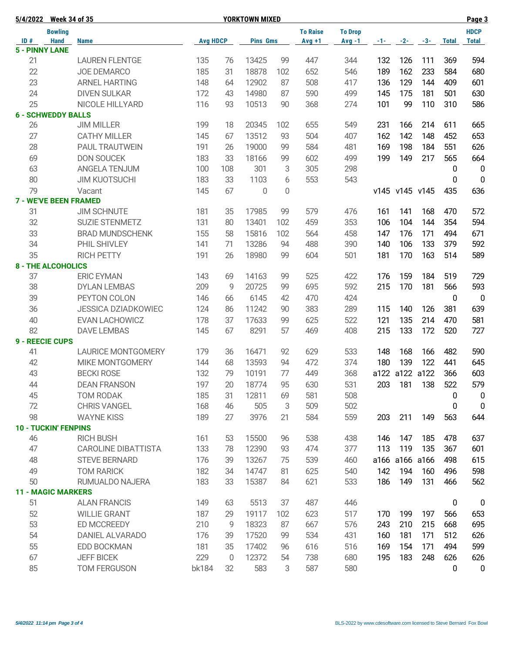| 5/4/2022 Week 34 of 35       |                |                            |                 |             | <b>YORKTOWN MIXED</b> |     |                 |                |     |                |                |                  | Page 3           |
|------------------------------|----------------|----------------------------|-----------------|-------------|-----------------------|-----|-----------------|----------------|-----|----------------|----------------|------------------|------------------|
|                              | <b>Bowling</b> |                            |                 |             |                       |     | <b>To Raise</b> | <b>To Drop</b> |     |                |                |                  | <b>HDCP</b>      |
| ID#                          | <b>Hand</b>    | <b>Name</b>                | <b>Avg HDCP</b> |             | <b>Pins Gms</b>       |     | $Avg +1$        | $Avg -1$       |     |                | $-1 - 2 - -3$  | <b>Total</b>     | <b>Total</b>     |
| <b>5 - PINNY LANE</b>        |                |                            |                 |             |                       |     |                 |                |     |                |                |                  |                  |
| 21                           |                | <b>LAUREN FLENTGE</b>      | 135             | 76          | 13425                 | 99  | 447             | 344            | 132 | 126            | 111            | 369              | 594              |
| 22                           |                | <b>JOE DEMARCO</b>         | 185             | 31          | 18878                 | 102 | 652             | 546            | 189 | 162            | 233            | 584              | 680              |
| 23                           |                | <b>ARNEL HARTING</b>       | 148             | 64          | 12902                 | 87  | 508             | 417            | 136 | 129            | 144            | 409              | 601              |
| 24                           |                | <b>DIVEN SULKAR</b>        | 172             | 43          | 14980                 | 87  | 590             | 499            | 145 | 175            | 181            | 501              | 630              |
| 25                           |                | NICOLE HILLYARD            | 116             | 93          | 10513                 | 90  | 368             | 274            | 101 | 99             | 110            | 310              | 586              |
| <b>6 - SCHWEDDY BALLS</b>    |                |                            |                 |             |                       |     |                 |                |     |                |                |                  |                  |
| 26                           |                | <b>JIM MILLER</b>          | 199             | 18          | 20345                 | 102 | 655             | 549            | 231 | 166            | 214            | 611              | 665              |
| 27                           |                | <b>CATHY MILLER</b>        | 145             | 67          | 13512                 | 93  | 504             | 407            | 162 | 142            | 148            | 452              | 653              |
| 28                           |                | PAUL TRAUTWEIN             | 191             | 26          | 19000                 | 99  | 584             | 481            | 169 | 198            | 184            | 551              | 626              |
| 69                           |                | <b>DON SOUCEK</b>          | 183             | 33          | 18166                 | 99  | 602             | 499            | 199 | 149            | 217            | 565              | 664              |
| 63                           |                | <b>ANGELA TENJUM</b>       | 100             | 108         | 301                   | 3   | 305             | 298            |     |                |                | $\pmb{0}$        | $\mathbf 0$      |
| 80                           |                | <b>JIM KUOTSUCHI</b>       | 183             | 33          | 1103                  | 6   | 553             | 543            |     |                |                | 0                | $\mathbf 0$      |
| 79                           |                | Vacant                     | 145             | 67          | 0                     | 0   |                 |                |     | v145 v145 v145 |                | 435              | 636              |
| <b>7 - WE'VE BEEN FRAMED</b> |                |                            |                 |             |                       |     |                 |                |     |                |                |                  |                  |
| 31                           |                | <b>JIM SCHNUTE</b>         | 181             | 35          | 17985                 | 99  | 579             | 476            | 161 | 141            | 168            | 470              | 572              |
| 32                           |                | <b>SUZIE STENMETZ</b>      | 131             | 80          | 13401                 | 102 | 459             | 353            | 106 | 104            | 144            | 354              | 594              |
| 33                           |                | <b>BRAD MUNDSCHENK</b>     | 155             | 58          | 15816                 | 102 | 564             | 458            | 147 | 176            | 171            | 494              | 671              |
| 34                           |                | PHIL SHIVLEY               | 141             | 71          | 13286                 | 94  | 488             | 390            | 140 | 106            | 133            | 379              | 592              |
| 35                           |                | <b>RICH PETTY</b>          | 191             | 26          | 18980                 | 99  | 604             | 501            | 181 | 170            | 163            | 514              | 589              |
| <b>8 - THE ALCOHOLICS</b>    |                |                            |                 |             |                       |     |                 |                |     |                |                |                  |                  |
| 37                           |                | <b>ERIC EYMAN</b>          | 143             | 69          | 14163                 | 99  | 525             | 422            | 176 | 159            | 184            | 519              | 729              |
| 38                           |                | <b>DYLAN LEMBAS</b>        | 209             | 9           | 20725                 | 99  | 695             | 592            | 215 | 170            | 181            | 566              | 593              |
| 39                           |                | PEYTON COLON               | 146             | 66          | 6145                  | 42  | 470             | 424            |     |                |                | 0                | $\overline{0}$   |
| 36                           |                | <b>JESSICA DZIADKOWIEC</b> | 124             | 86          | 11242                 | 90  | 383             | 289            | 115 | 140            | 126            | 381              | 639              |
| 40                           |                | EVAN LACHOWICZ             | 178             | 37          | 17633                 | 99  | 625             | 522            | 121 | 135            | 214            | 470              | 581              |
| 82                           |                | <b>DAVE LEMBAS</b>         | 145             | 67          | 8291                  | 57  | 469             | 408            | 215 | 133            | 172            | 520              | 727              |
| <b>9 - REECIE CUPS</b>       |                |                            |                 |             |                       |     |                 |                |     |                |                |                  |                  |
| 41                           |                | <b>LAURICE MONTGOMERY</b>  | 179             | 36          | 16471                 | 92  | 629             | 533            | 148 | 168            | 166            | 482              | 590              |
| 42                           |                | <b>MIKE MONTGOMERY</b>     | 144             | 68          | 13593                 | 94  | 472             | 374            | 180 | 139            | 122            | 441              | 645              |
| 43                           |                | <b>BECKI ROSE</b>          | 132             | 79          | 10191                 | 77  | 449             | 368            |     |                | a122 a122 a122 | 366              | 603              |
| 44                           |                | <b>DEAN FRANSON</b>        | 197             | $20\,$      | 18774                 | 95  | 630             | 531            |     | 203 181        | 138            | 522              | 579              |
| 45                           |                | TOM RODAK                  | 185             | 31          | 12811                 | 69  | 581             | 508            |     |                |                | 0                | 0                |
| 72                           |                | <b>CHRIS VANGEL</b>        | 168             | 46          | 505                   | 3   | 509             | 502            |     |                |                | 0                | $\mathbf 0$      |
| 98                           |                | <b>WAYNE KISS</b>          | 189             | 27          | 3976                  | 21  | 584             | 559            | 203 | 211            | 149            | 563              | 644              |
| <b>10 - TUCKIN' FENPINS</b>  |                |                            |                 |             |                       |     |                 |                |     |                |                |                  |                  |
| 46                           |                | <b>RICH BUSH</b>           | 161             | 53          | 15500                 | 96  | 538             | 438            | 146 | 147            | 185            | 478              | 637              |
| 47                           |                | <b>CAROLINE DIBATTISTA</b> | 133             | 78          | 12390                 | 93  | 474             | 377            | 113 | 119            | 135            | 367              | 601              |
| 48                           |                | <b>STEVE BERNARD</b>       | 176             | 39          | 13267                 | 75  | 539             | 460            |     | a166 a166 a166 |                | 498              | 615              |
| 49                           |                | <b>TOM RARICK</b>          | 182             | 34          | 14747                 | 81  | 625             | 540            | 142 | 194            | 160            | 496              | 598              |
| 50                           |                | RUMUALDO NAJERA            | 183             | 33          | 15387                 | 84  | 621             | 533            | 186 | 149            | 131            | 466              | 562              |
| <b>11 - MAGIC MARKERS</b>    |                |                            |                 |             |                       |     |                 |                |     |                |                |                  |                  |
| 51                           |                | <b>ALAN FRANCIS</b>        | 149             | 63          | 5513                  | 37  | 487             | 446            |     |                |                | $\boldsymbol{0}$ | $\boldsymbol{0}$ |
| 52                           |                | <b>WILLIE GRANT</b>        | 187             | 29          | 19117                 | 102 | 623             | 517            | 170 | 199            | 197            | 566              | 653              |
| 53                           |                | ED MCCREEDY                | 210             | 9           | 18323                 | 87  | 667             | 576            | 243 | 210            | 215            | 668              | 695              |
| 54                           |                | DANIEL ALVARADO            | 176             | 39          | 17520                 | 99  | 534             | 431            | 160 | 181            | 171            | 512              | 626              |
| 55                           |                | EDD BOCKMAN                | 181             | 35          | 17402                 | 96  | 616             | 516            | 169 | 154            | 171            | 494              | 599              |
| 67                           |                | <b>JEFF BICEK</b>          | 229             | $\mathbb O$ | 12372                 | 54  | 738             | 680            | 195 | 183            | 248            | 626              | 626              |
| 85                           |                | <b>TOM FERGUSON</b>        | bk184           | 32          | 583                   | 3   | 587             | 580            |     |                |                | 0                | $\pmb{0}$        |